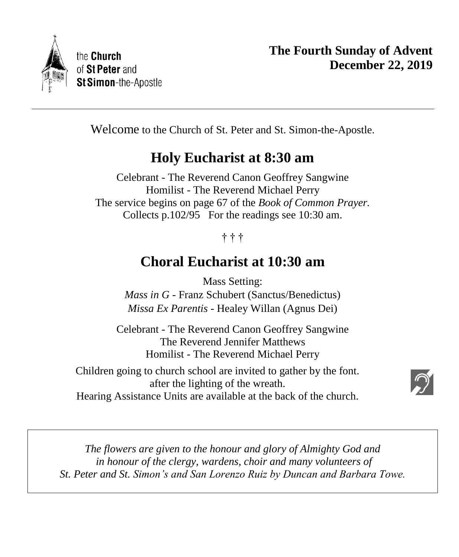

Welcome to the Church of St. Peter and St. Simon-the-Apostle.

# **Holy Eucharist at 8:30 am**

Celebrant - The Reverend Canon Geoffrey Sangwine Homilist - The Reverend Michael Perry The service begins on page 67 of the *Book of Common Prayer.* Collects p.102/95 For the readings see 10:30 am.

## † † †

# **Choral Eucharist at 10:30 am**

Mass Setting: *Mass in G* - Franz Schubert (Sanctus/Benedictus) *Missa Ex Parentis* - Healey Willan (Agnus Dei)

Celebrant - The Reverend Canon Geoffrey Sangwine The Reverend Jennifer Matthews Homilist - The Reverend Michael Perry

Children going to church school are invited to gather by the font. after the lighting of the wreath.

Hearing Assistance Units are available at the back of the church.

*The flowers are given to the honour and glory of Almighty God and in honour of the clergy, wardens, choir and many volunteers of St. Peter and St. Simon's and San Lorenzo Ruiz by Duncan and Barbara Towe.*

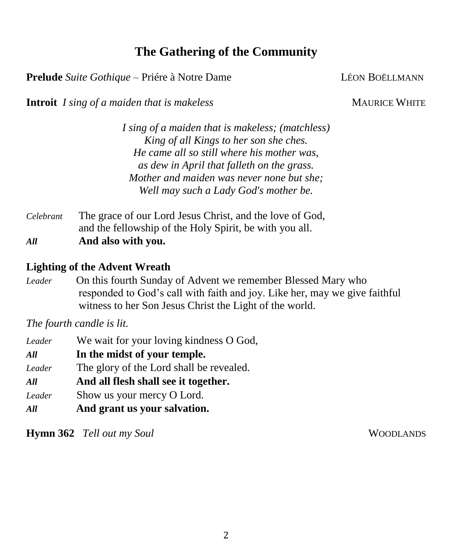## **The Gathering of the Community**

**Prelude** *Suite Gothique* – Priére à Notre Dame LÉON BOËLLMANN

**Introit** *I sing of a maiden that is makeless* MAURICE WHITE

*I sing of a maiden that is makeless; (matchless) King of all Kings to her son she ches. He came all so still where his mother was, as dew in April that falleth on the grass. Mother and maiden was never none but she; Well may such a Lady God's mother be.*

*Celebrant* The grace of our Lord Jesus Christ, and the love of God, and the fellowship of the Holy Spirit, be with you all. *All* **And also with you.**

#### **Lighting of the Advent Wreath**

*Leader* On this fourth Sunday of Advent we remember Blessed Mary who responded to God's call with faith and joy. Like her, may we give faithful witness to her Son Jesus Christ the Light of the world.

*The fourth candle is lit.*

*Leader* We wait for your loving kindness O God,

*All* **In the midst of your temple.**

*Leader* The glory of the Lord shall be revealed.

- *All* **And all flesh shall see it together.**
- *Leader* **Show us your mercy O Lord.**
- *All* **And grant us your salvation.**

**Hymn 362** *Tell out my Soul* **WOODLANDS**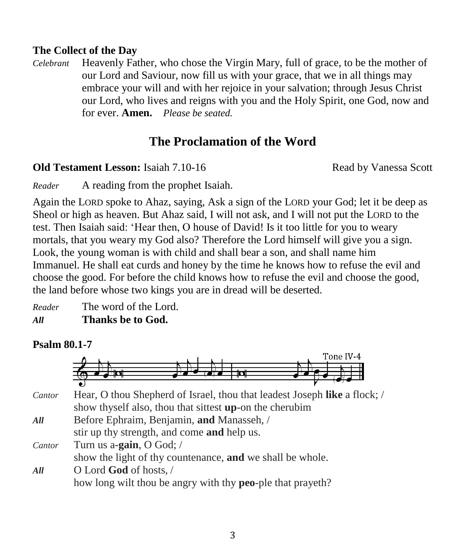## **The Collect of the Day**

*Celebrant* Heavenly Father, who chose the Virgin Mary, full of grace, to be the mother of our Lord and Saviour, now fill us with your grace, that we in all things may embrace your will and with her rejoice in your salvation; through Jesus Christ our Lord, who lives and reigns with you and the Holy Spirit, one God, now and for ever. **Amen.** *Please be seated.*

## **The Proclamation of the Word**

### **Old Testament Lesson:** Isaiah 7.10-16 *Read by Vanessa Scott*

*Reader* A reading from the prophet Isaiah.

Again the LORD spoke to Ahaz, saying, Ask a sign of the LORD your God; let it be deep as Sheol or high as heaven. But Ahaz said, I will not ask, and I will not put the LORD to the test. Then Isaiah said: 'Hear then, O house of David! Is it too little for you to weary mortals, that you weary my God also? Therefore the Lord himself will give you a sign. Look, the young woman is with child and shall bear a son, and shall name him Immanuel. He shall eat curds and honey by the time he knows how to refuse the evil and choose the good. For before the child knows how to refuse the evil and choose the good, the land before whose two kings you are in dread will be deserted.

*Reader* The word of the Lord. *All* **Thanks be to God.**

**Psalm 80.1-7**

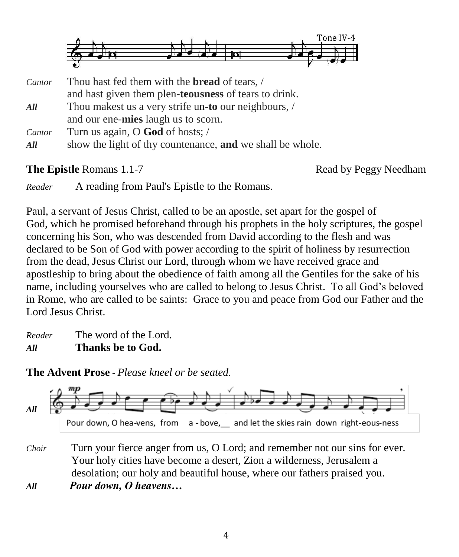

| Cantor | Thou hast fed them with the <b>bread</b> of tears, /          |  |
|--------|---------------------------------------------------------------|--|
|        | and hast given them plen- <b>teousness</b> of tears to drink. |  |
| All    | Thou makest us a very strife un-to our neighbours, /          |  |
|        | and our ene-mies laugh us to scorn.                           |  |
| Cantor | Turn us again, O God of hosts; /                              |  |
| All    | show the light of thy countenance, and we shall be whole.     |  |

**The Epistle** Romans 1.1-7 *Read by Peggy Needham* 

*Reader* A reading from Paul's Epistle to the Romans.

Paul, a servant of Jesus Christ, called to be an apostle, set apart for the gospel of God, which he promised beforehand through his prophets in the holy scriptures, the gospel concerning his Son, who was descended from David according to the flesh and was declared to be Son of God with power according to the spirit of holiness by resurrection from the dead, Jesus Christ our Lord, through whom we have received grace and apostleship to bring about the obedience of faith among all the Gentiles for the sake of his name, including yourselves who are called to belong to Jesus Christ. To all God's beloved in Rome, who are called to be saints: Grace to you and peace from God our Father and the Lord Jesus Christ.

*Reader* The word of the Lord. *All* **Thanks be to God.**

**The Advent Prose -** *Please kneel or be seated.*



Pour down, O hea-vens, from a-bove, and let the skies rain down right-eous-ness

*Choir* Turn your fierce anger from us, O Lord; and remember not our sins for ever. Your holy cities have become a desert, Zion a wilderness, Jerusalem a desolation; our holy and beautiful house, where our fathers praised you.

*All Pour down, O heavens…*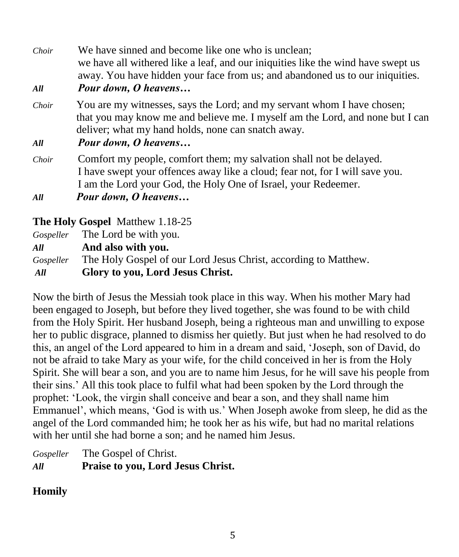*Choir* We have sinned and become like one who is unclean; we have all withered like a leaf, and our iniquities like the wind have swept us away. You have hidden your face from us; and abandoned us to our iniquities. *All Pour down, O heavens… Choir* You are my witnesses, says the Lord; and my servant whom I have chosen;

that you may know me and believe me. I myself am the Lord, and none but I can deliver; what my hand holds, none can snatch away.

*All Pour down, O heavens…*

- *Choir* Comfort my people, comfort them; my salvation shall not be delayed. I have swept your offences away like a cloud; fear not, for I will save you. I am the Lord your God, the Holy One of Israel, your Redeemer.
- *All Pour down, O heavens…*

**The Holy Gospel** Matthew 1.18-25

*Gospeller* The Lord be with you. *All* **And also with you.** *Gospeller* The Holy Gospel of our Lord Jesus Christ, according to Matthew. *All* **Glory to you, Lord Jesus Christ.**

Now the birth of Jesus the Messiah took place in this way. When his mother Mary had been engaged to Joseph, but before they lived together, she was found to be with child from the Holy Spirit. Her husband Joseph, being a righteous man and unwilling to expose her to public disgrace, planned to dismiss her quietly. But just when he had resolved to do this, an angel of the Lord appeared to him in a dream and said, 'Joseph, son of David, do not be afraid to take Mary as your wife, for the child conceived in her is from the Holy Spirit. She will bear a son, and you are to name him Jesus, for he will save his people from their sins.' All this took place to fulfil what had been spoken by the Lord through the prophet: 'Look, the virgin shall conceive and bear a son, and they shall name him Emmanuel', which means, 'God is with us.' When Joseph awoke from sleep, he did as the angel of the Lord commanded him; he took her as his wife, but had no marital relations with her until she had borne a son; and he named him Jesus.

*Gospeller* The Gospel of Christ. *All* **Praise to you, Lord Jesus Christ.**

## **Homily**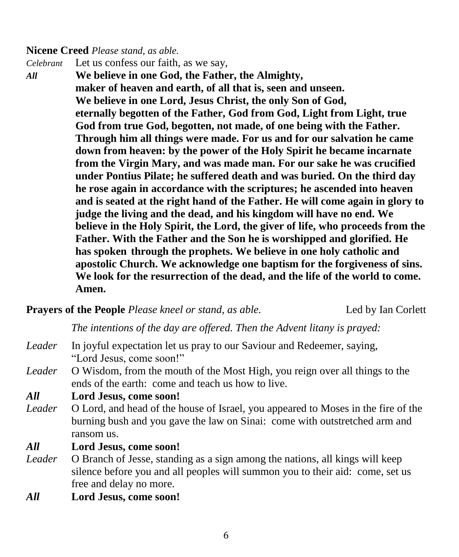#### **Nicene Creed** *Please stand, as able.*

*Celebrant* Let us confess our faith, as we say,

*All* **We believe in one God, the Father, the Almighty, maker of heaven and earth, of all that is, seen and unseen. We believe in one Lord, Jesus Christ, the only Son of God, eternally begotten of the Father, God from God, Light from Light, true God from true God, begotten, not made, of one being with the Father. Through him all things were made. For us and for our salvation he came down from heaven: by the power of the Holy Spirit he became incarnate from the Virgin Mary, and was made man. For our sake he was crucified under Pontius Pilate; he suffered death and was buried. On the third day he rose again in accordance with the scriptures; he ascended into heaven and is seated at the right hand of the Father. He will come again in glory to judge the living and the dead, and his kingdom will have no end. We believe in the Holy Spirit, the Lord, the giver of life, who proceeds from the Father. With the Father and the Son he is worshipped and glorified. He has spoken through the prophets. We believe in one holy catholic and apostolic Church. We acknowledge one baptism for the forgiveness of sins. We look for the resurrection of the dead, and the life of the world to come. Amen.**

**Prayers of the People** *Please kneel or stand, as able.* Led by Ian Corlett

*The intentions of the day are offered. Then the Advent litany is prayed:*

- *Leader* In joyful expectation let us pray to our Saviour and Redeemer, saying, "Lord Jesus, come soon!"
- *Leader* O Wisdom, from the mouth of the Most High, you reign over all things to the ends of the earth: come and teach us how to live.

*All* **Lord Jesus, come soon!**

*Leader* O Lord, and head of the house of Israel, you appeared to Moses in the fire of the burning bush and you gave the law on Sinai: come with outstretched arm and ransom us.

#### *All* **Lord Jesus, come soon!**

- *Leader* O Branch of Jesse, standing as a sign among the nations, all kings will keep silence before you and all peoples will summon you to their aid: come, set us free and delay no more.
- *All* **Lord Jesus, come soon!**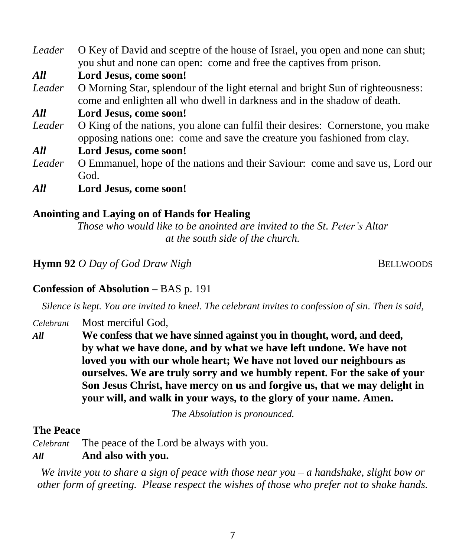*Leader* O Key of David and sceptre of the house of Israel, you open and none can shut; you shut and none can open: come and free the captives from prison.

#### *All* **Lord Jesus, come soon!**

*Leader* O Morning Star, splendour of the light eternal and bright Sun of righteousness: come and enlighten all who dwell in darkness and in the shadow of death.

#### *All* **Lord Jesus, come soon!**

*Leader* O King of the nations, you alone can fulfil their desires: Cornerstone, you make opposing nations one: come and save the creature you fashioned from clay.

#### *All* **Lord Jesus, come soon!**

- *Leader* O Emmanuel, hope of the nations and their Saviour: come and save us, Lord our God.
- *All* **Lord Jesus, come soon!**

#### **Anointing and Laying on of Hands for Healing**

*Those who would like to be anointed are invited to the St. Peter's Altar at the south side of the church.*

#### **Hymn 92** *O Day of God Draw Nigh* BELLWOODS

#### **Confession of Absolution –** BAS p. 191

*Silence is kept. You are invited to kneel. The celebrant invites to confession of sin. Then is said,*

#### *Celebrant* Most merciful God,

*All* **We confess that we have sinned against you in thought, word, and deed, by what we have done, and by what we have left undone. We have not loved you with our whole heart; We have not loved our neighbours as ourselves. We are truly sorry and we humbly repent. For the sake of your Son Jesus Christ, have mercy on us and forgive us, that we may delight in your will, and walk in your ways, to the glory of your name. Amen.**

*The Absolution is pronounced.*

#### **The Peace**

*Celebrant* The peace of the Lord be always with you.

#### *All* **And also with you.**

*We invite you to share a sign of peace with those near you – a handshake, slight bow or other form of greeting. Please respect the wishes of those who prefer not to shake hands.*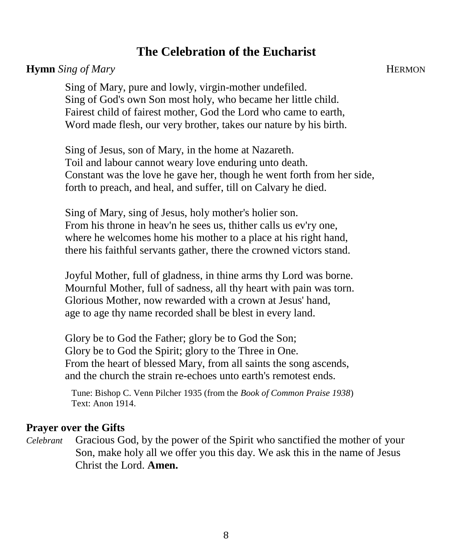## **The Celebration of the Eucharist**

#### **Hymn** *Sing of Mary* **HERMON**

Sing of Mary, pure and lowly, virgin-mother undefiled. Sing of God's own Son most holy, who became her little child. Fairest child of fairest mother, God the Lord who came to earth, Word made flesh, our very brother, takes our nature by his birth.

Sing of Jesus, son of Mary, in the home at Nazareth. Toil and labour cannot weary love enduring unto death. Constant was the love he gave her, though he went forth from her side, forth to preach, and heal, and suffer, till on Calvary he died.

Sing of Mary, sing of Jesus, holy mother's holier son. From his throne in heav'n he sees us, thither calls us ev'ry one, where he welcomes home his mother to a place at his right hand, there his faithful servants gather, there the crowned victors stand.

Joyful Mother, full of gladness, in thine arms thy Lord was borne. Mournful Mother, full of sadness, all thy heart with pain was torn. Glorious Mother, now rewarded with a crown at Jesus' hand, age to age thy name recorded shall be blest in every land.

Glory be to God the Father; glory be to God the Son; Glory be to God the Spirit; glory to the Three in One. From the heart of blessed Mary, from all saints the song ascends, and the church the strain re-echoes unto earth's remotest ends.

Tune: Bishop C. Venn Pilcher 1935 (from the *Book of Common Praise 1938*) Text: Anon 1914.

#### **Prayer over the Gifts**

*Celebrant* Gracious God, by the power of the Spirit who sanctified the mother of your Son, make holy all we offer you this day. We ask this in the name of Jesus Christ the Lord. **Amen.**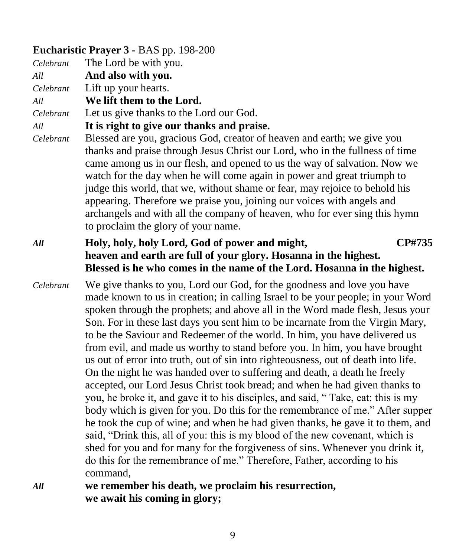#### **Eucharistic Prayer 3 -** BAS pp. 198-200

*Celebrant* The Lord be with you. *All* **And also with you.** *Celebrant* Lift up your hearts. *All* **We lift them to the Lord.** *Celebrant* Let us give thanks to the Lord our God. *All* **It is right to give our thanks and praise.** *Celebrant* Blessed are you, gracious God, creator of heaven and earth; we give you thanks and praise through Jesus Christ our Lord, who in the fullness of time came among us in our flesh, and opened to us the way of salvation. Now we watch for the day when he will come again in power and great triumph to judge this world, that we, without shame or fear, may rejoice to behold his appearing. Therefore we praise you, joining our voices with angels and archangels and with all the company of heaven, who for ever sing this hymn to proclaim the glory of your name.

#### *All* **Holy, holy, holy Lord, God of power and might,****CP#735 heaven and earth are full of your glory. Hosanna in the highest. Blessed is he who comes in the name of the Lord. Hosanna in the highest.**

*Celebrant* We give thanks to you, Lord our God, for the goodness and love you have made known to us in creation; in calling Israel to be your people; in your Word spoken through the prophets; and above all in the Word made flesh, Jesus your Son. For in these last days you sent him to be incarnate from the Virgin Mary, to be the Saviour and Redeemer of the world. In him, you have delivered us from evil, and made us worthy to stand before you. In him, you have brought us out of error into truth, out of sin into righteousness, out of death into life. On the night he was handed over to suffering and death, a death he freely accepted, our Lord Jesus Christ took bread; and when he had given thanks to you, he broke it, and gave it to his disciples, and said, " Take, eat: this is my body which is given for you. Do this for the remembrance of me." After supper he took the cup of wine; and when he had given thanks, he gave it to them, and said, "Drink this, all of you: this is my blood of the new covenant, which is shed for you and for many for the forgiveness of sins. Whenever you drink it, do this for the remembrance of me." Therefore, Father, according to his command,

*All* **we remember his death, we proclaim his resurrection, we await his coming in glory;**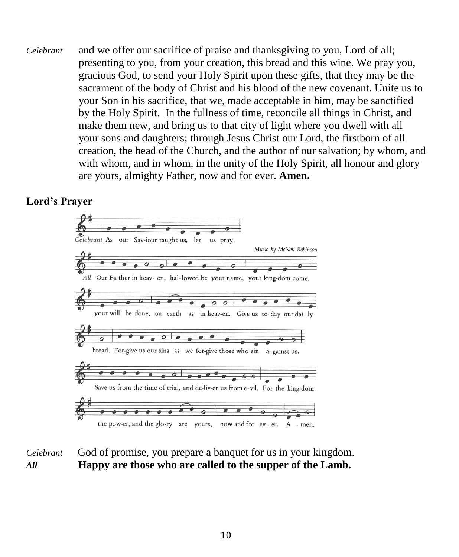*Celebrant* and we offer our sacrifice of praise and thanksgiving to you, Lord of all; presenting to you, from your creation, this bread and this wine. We pray you, gracious God, to send your Holy Spirit upon these gifts, that they may be the sacrament of the body of Christ and his blood of the new covenant. Unite us to your Son in his sacrifice, that we, made acceptable in him, may be sanctified by the Holy Spirit. In the fullness of time, reconcile all things in Christ, and make them new, and bring us to that city of light where you dwell with all your sons and daughters; through Jesus Christ our Lord, the firstborn of all creation, the head of the Church, and the author of our salvation; by whom, and with whom, and in whom, in the unity of the Holy Spirit, all honour and glory are yours, almighty Father, now and for ever. **Amen.**

#### **Lord's Prayer**



*Celebrant* God of promise, you prepare a banquet for us in your kingdom. *All* **Happy are those who are called to the supper of the Lamb.**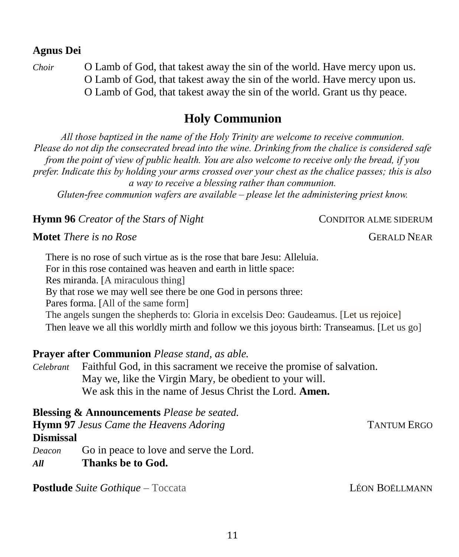#### **Agnus Dei**

*Choir* O Lamb of God, that takest away the sin of the world. Have mercy upon us. O Lamb of God, that takest away the sin of the world. Have mercy upon us. O Lamb of God, that takest away the sin of the world. Grant us thy peace.

## **Holy Communion**

*All those baptized in the name of the Holy Trinity are welcome to receive communion. Please do not dip the consecrated bread into the wine. Drinking from the chalice is considered safe from the point of view of public health. You are also welcome to receive only the bread, if you prefer. Indicate this by holding your arms crossed over your chest as the chalice passes; this is also a way to receive a blessing rather than communion.*

*Gluten-free communion wafers are available – please let the administering priest know.*

**Hymn 96** *Creator of the Stars of Night* **CONDITOR ALME SIDERUM** 

#### **Motet** *There is no Rose* GERALD NEAR

There is no rose of such virtue as is the rose that bare Jesu: Alleluia. For in this rose contained was heaven and earth in little space: Res miranda. [A miraculous thing] By that rose we may well see there be one God in persons three: Pares forma. [All of the same form] The angels sungen the shepherds to: Gloria in excelsis Deo: Gaudeamus. [Let us rejoice] Then leave we all this worldly mirth and follow we this joyous birth: Transeamus. [Let us go]

#### **Prayer after Communion** *Please stand, as able.*

*Celebrant* Faithful God, in this sacrament we receive the promise of salvation. May we, like the Virgin Mary, be obedient to your will. We ask this in the name of Jesus Christ the Lord. **Amen.**

#### **Blessing & Announcements** *Please be seated.*

**Hymn** 97 *Jesus Came the Heavens Adoring* **TANTUM ERGO Dismissal**

*Deacon* Go in peace to love and serve the Lord. *All* **Thanks be to God.** 

**Postlude** *Suite Gothique –* Toccata LÉON BOËLLMANN